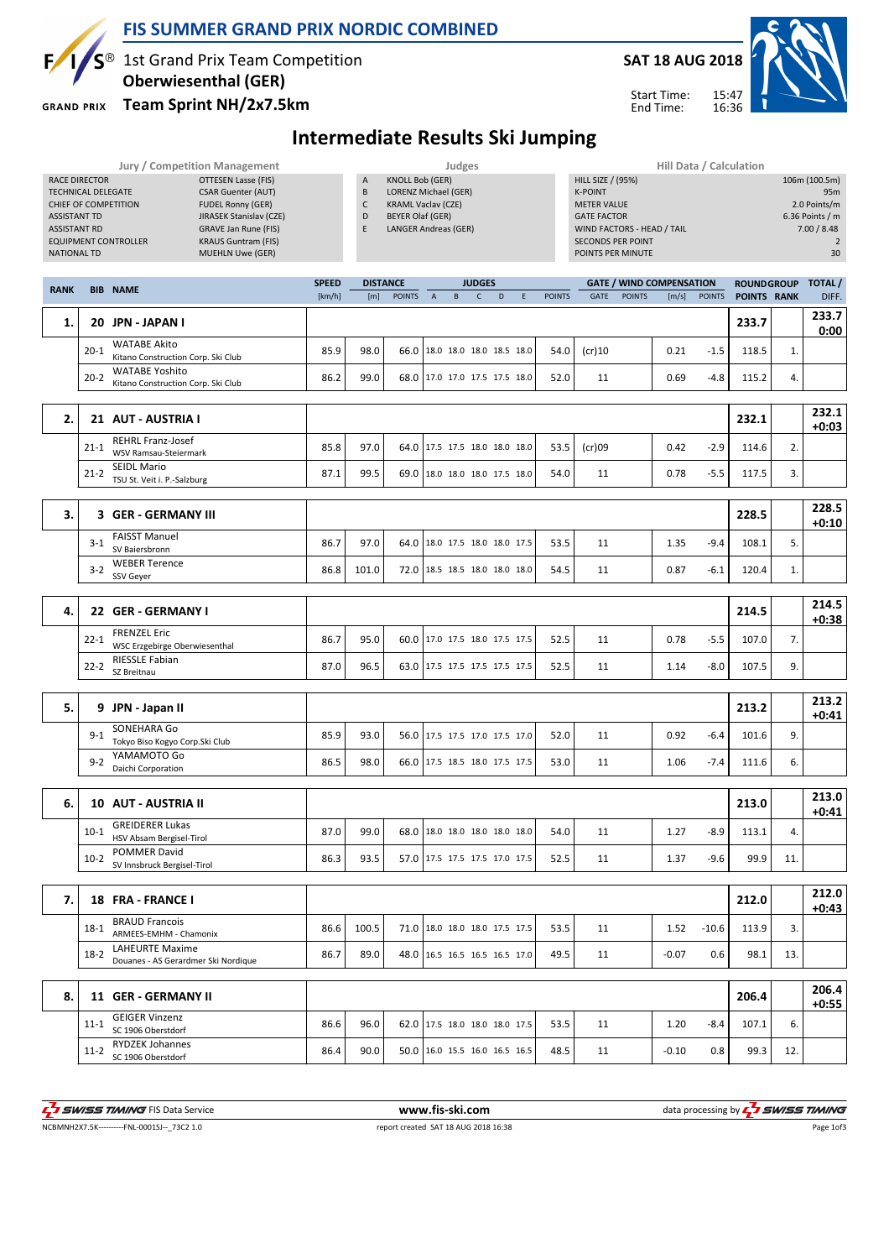

### FIS SUMMER GRAND PRIX NORDIC COMBINED

1st Grand Prix Team Competition

Oberwiesenthal (GER)

**GRAND PRIX** 

#### Team Sprint NH/2x7.5km



Start Time: End Time:

# Intermediate Results Ski Jumping

|                           |          | <b>Jury / Competition Management</b>                                          |              |                          |                                                   |                                 | Judges   |                          |   |             |               |                                      |               |                                 | Hill Data / Calculation |                   |     |                     |
|---------------------------|----------|-------------------------------------------------------------------------------|--------------|--------------------------|---------------------------------------------------|---------------------------------|----------|--------------------------|---|-------------|---------------|--------------------------------------|---------------|---------------------------------|-------------------------|-------------------|-----|---------------------|
| <b>RACE DIRECTOR</b>      |          | <b>OTTESEN Lasse (FIS)</b>                                                    |              | A                        | <b>KNOLL Bob (GER)</b>                            |                                 |          |                          |   |             |               | <b>HILL SIZE / (95%)</b>             |               |                                 |                         |                   |     | 106m (100.5m)       |
| <b>TECHNICAL DELEGATE</b> |          | <b>CSAR Guenter (AUT)</b><br>CHIEF OF COMPETITION<br><b>FUDEL Ronny (GER)</b> |              | $\sf{B}$<br>$\mathsf{C}$ | LORENZ Michael (GER)<br><b>KRAML Vaclav (CZE)</b> |                                 |          |                          |   |             |               | <b>K-POINT</b><br><b>METER VALUE</b> |               |                                 |                         |                   |     | 95m<br>2.0 Points/m |
| <b>ASSISTANT TD</b>       |          | JIRASEK Stanislav (CZE)                                                       |              | D                        | <b>BEYER Olaf (GER)</b>                           |                                 |          |                          |   |             |               | <b>GATE FACTOR</b>                   |               |                                 |                         |                   |     | 6.36 Points / m     |
| <b>ASSISTANT RD</b>       |          | <b>GRAVE Jan Rune (FIS)</b>                                                   |              | E                        | <b>LANGER Andreas (GER)</b>                       |                                 |          |                          |   |             |               | WIND FACTORS - HEAD / TAIL           |               |                                 |                         |                   |     | 7.00 / 8.48         |
|                           |          | <b>EQUIPMENT CONTROLLER</b><br><b>KRAUS Guntram (FIS)</b>                     |              |                          |                                                   |                                 |          |                          |   |             |               | SECONDS PER POINT                    |               |                                 |                         |                   |     | $\overline{2}$      |
| <b>NATIONAL TD</b>        |          | <b>MUEHLN Uwe (GER)</b>                                                       |              |                          |                                                   |                                 |          |                          |   |             |               | POINTS PER MINUTE                    |               |                                 |                         |                   |     | 30                  |
|                           |          |                                                                               | <b>SPEED</b> |                          | <b>DISTANCE</b>                                   |                                 |          | <b>JUDGES</b>            |   |             |               |                                      |               | <b>GATE / WIND COMPENSATION</b> |                         | <b>ROUNDGROUP</b> |     | <b>TOTAL</b>        |
| <b>RANK</b>               |          | <b>BIB NAME</b>                                                               | [km/h]       | [m]                      | <b>POINTS</b>                                     | $\overline{A}$                  | $\sf{B}$ | $\mathsf{C}$             | D | $\mathsf E$ | <b>POINTS</b> | <b>GATE</b>                          | <b>POINTS</b> | [m/s]                           | <b>POINTS</b>           | POINTS RANK       |     | DIFF.               |
|                           |          |                                                                               |              |                          |                                                   |                                 |          |                          |   |             |               |                                      |               |                                 |                         |                   |     |                     |
| 1.                        |          | 20 JPN - JAPAN I                                                              |              |                          |                                                   |                                 |          |                          |   |             |               |                                      |               |                                 |                         | 233.7             |     | 233.7<br>0:00       |
|                           |          | <b>WATABE Akito</b>                                                           |              |                          |                                                   |                                 |          |                          |   |             |               |                                      |               |                                 |                         |                   |     |                     |
|                           | $20 - 1$ | Kitano Construction Corp. Ski Club                                            | 85.9         | 98.0                     | 66.0                                              |                                 |          | 18.0 18.0 18.0 18.5 18.0 |   |             | 54.0          | $(cr)$ 10                            |               | 0.21                            | $-1.5$                  | 118.5             | 1.  |                     |
|                           | $20 - 2$ | <b>WATABE Yoshito</b>                                                         | 86.2         | 99.0                     | 68.0                                              | 17.0 17.0 17.5 17.5 18.0        |          |                          |   |             | 52.0          | 11                                   |               | 0.69                            | $-4.8$                  | 115.2             | 4.  |                     |
|                           |          | Kitano Construction Corp. Ski Club                                            |              |                          |                                                   |                                 |          |                          |   |             |               |                                      |               |                                 |                         |                   |     |                     |
|                           |          |                                                                               |              |                          |                                                   |                                 |          |                          |   |             |               |                                      |               |                                 |                         |                   |     |                     |
| 2.                        |          | 21 AUT - AUSTRIA I                                                            |              |                          |                                                   |                                 |          |                          |   |             |               |                                      |               |                                 |                         | 232.1             |     | 232.1               |
|                           |          | <b>REHRL Franz-Josef</b>                                                      |              |                          |                                                   |                                 |          |                          |   |             |               |                                      |               |                                 |                         |                   |     | $+0:03$             |
|                           | $21 - 1$ | <b>WSV Ramsau-Steiermark</b>                                                  | 85.8         | 97.0                     |                                                   | 64.0 17.5 17.5 18.0 18.0 18.0   |          |                          |   |             | 53.5          | (cr)09                               |               | 0.42                            | $-2.9$                  | 114.6             | 2.  |                     |
|                           |          | <b>SEIDL Mario</b>                                                            |              |                          |                                                   |                                 |          |                          |   |             |               |                                      |               |                                 |                         |                   |     |                     |
|                           | $21-2$   | TSU St. Veit i. P.-Salzburg                                                   | 87.1         | 99.5                     |                                                   | 69.0   18.0 18.0 18.0 17.5 18.0 |          |                          |   |             | 54.0          | 11                                   |               | 0.78                            | $-5.5$                  | 117.5             | 3.  |                     |
|                           |          |                                                                               |              |                          |                                                   |                                 |          |                          |   |             |               |                                      |               |                                 |                         |                   |     |                     |
| 3.                        |          | 3 GER - GERMANY III                                                           |              |                          |                                                   |                                 |          |                          |   |             |               |                                      |               |                                 |                         | 228.5             |     | 228.5               |
|                           |          |                                                                               |              |                          |                                                   |                                 |          |                          |   |             |               |                                      |               |                                 |                         |                   |     | $+0:10$             |
|                           | $3 - 1$  | <b>FAISST Manuel</b><br>SV Baiersbronn                                        | 86.7         | 97.0                     | 64.0                                              |                                 |          | 18.0 17.5 18.0 18.0 17.5 |   |             | 53.5          | 11                                   |               | 1.35                            | $-9.4$                  | 108.1             | 5.  |                     |
|                           |          | <b>WEBER Terence</b>                                                          |              |                          |                                                   |                                 |          |                          |   |             |               |                                      |               |                                 |                         |                   |     |                     |
|                           | $3 - 2$  | SSV Geyer                                                                     | 86.8         | 101.0                    | 72.0                                              | 18.5 18.5 18.0 18.0 18.0        |          |                          |   |             | 54.5          | 11                                   |               | 0.87                            | $-6.1$                  | 120.4             | 1.  |                     |
|                           |          |                                                                               |              |                          |                                                   |                                 |          |                          |   |             |               |                                      |               |                                 |                         |                   |     |                     |
| 4.                        |          | 22 GER - GERMANY I                                                            |              |                          |                                                   |                                 |          |                          |   |             |               |                                      |               |                                 |                         | 214.5             |     | 214.5               |
|                           |          |                                                                               |              |                          |                                                   |                                 |          |                          |   |             |               |                                      |               |                                 |                         |                   |     | $+0:38$             |
|                           | $22 - 1$ | <b>FRENZEL Eric</b><br>WSC Erzgebirge Oberwiesenthal                          | 86.7         | 95.0                     | 60.0                                              | 17.0 17.5 18.0 17.5 17.5        |          |                          |   |             | 52.5          | 11                                   |               | 0.78                            | $-5.5$                  | 107.0             | 7.  |                     |
|                           |          | <b>RIESSLE Fabian</b>                                                         |              |                          |                                                   |                                 |          |                          |   |             |               |                                      |               |                                 |                         |                   |     |                     |
|                           | $22 - 2$ | SZ Breitnau                                                                   | 87.0         | 96.5                     |                                                   | 63.0 17.5 17.5 17.5 17.5 17.5   |          |                          |   |             | 52.5          | 11                                   |               | 1.14                            | $-8.0$                  | 107.5             | 9.  |                     |
|                           |          |                                                                               |              |                          |                                                   |                                 |          |                          |   |             |               |                                      |               |                                 |                         |                   |     |                     |
| 5.                        |          | 9 JPN - Japan II                                                              |              |                          |                                                   |                                 |          |                          |   |             |               |                                      |               |                                 |                         | 213.2             |     | 213.2               |
|                           |          |                                                                               |              |                          |                                                   |                                 |          |                          |   |             |               |                                      |               |                                 |                         |                   |     | $+0:41$             |
|                           | $9 - 1$  | SONEHARA Go                                                                   | 85.9         | 93.0                     | 56.0                                              |                                 |          | 17.5 17.5 17.0 17.5 17.0 |   |             | 52.0          | 11                                   |               | 0.92                            | $-6.4$                  | 101.6             | 9.  |                     |
|                           |          | Tokyo Biso Kogyo Corp.Ski Club<br>YAMAMOTO Go                                 |              |                          |                                                   |                                 |          |                          |   |             |               |                                      |               |                                 |                         |                   |     |                     |
|                           | $9 - 2$  | Daichi Corporation                                                            | 86.5         | 98.0                     |                                                   | 66.0   17.5 18.5 18.0 17.5 17.5 |          |                          |   |             | 53.0          | 11                                   |               | 1.06                            | $-7.4$                  | 111.6             | 6.  |                     |
|                           |          |                                                                               |              |                          |                                                   |                                 |          |                          |   |             |               |                                      |               |                                 |                         |                   |     |                     |
| 6.                        |          | 10 AUT - AUSTRIA II                                                           |              |                          |                                                   |                                 |          |                          |   |             |               |                                      |               |                                 |                         | 213.0             |     | 213.0               |
|                           |          |                                                                               |              |                          |                                                   |                                 |          |                          |   |             |               |                                      |               |                                 |                         |                   |     | +0:41               |
|                           | $10-1$   | <b>GREIDERER Lukas</b>                                                        | 87.0         | 99.0                     | 68.0 18.0 18.0 18.0 18.0 18.0                     |                                 |          |                          |   |             | 54.0          | 11                                   |               | 1.27                            | $-8.9$                  | 113.1             | 4.  |                     |
|                           |          | HSV Absam Bergisel-Tirol<br>POMMER David                                      |              |                          |                                                   |                                 |          |                          |   |             |               |                                      |               |                                 |                         |                   |     |                     |
|                           | $10-2$   | SV Innsbruck Bergisel-Tirol                                                   | 86.3         | 93.5                     |                                                   | 57.0 17.5 17.5 17.5 17.0 17.5   |          |                          |   |             | 52.5          | 11                                   |               | 1.37                            | $-9.6$                  | 99.9              | 11. |                     |
|                           |          |                                                                               |              |                          |                                                   |                                 |          |                          |   |             |               |                                      |               |                                 |                         |                   |     |                     |
| 7.                        |          | 18 FRA - FRANCE I                                                             |              |                          |                                                   |                                 |          |                          |   |             |               |                                      |               |                                 |                         |                   |     | 212.0               |
|                           |          |                                                                               |              |                          |                                                   |                                 |          |                          |   |             |               |                                      |               |                                 |                         | 212.0             |     | $+0:43$             |
|                           | $18-1$   | <b>BRAUD Francois</b>                                                         | 86.6         | 100.5                    | 71.0                                              | 18.0 18.0 18.0 17.5 17.5        |          |                          |   |             | 53.5          | 11                                   |               | 1.52                            | $-10.6$                 | 113.9             | 3.  |                     |
|                           |          | ARMEES-EMHM - Chamonix                                                        |              |                          |                                                   |                                 |          |                          |   |             |               |                                      |               |                                 |                         |                   |     |                     |
|                           | $18-2$   | LAHEURTE Maxime<br>Douanes - AS Gerardmer Ski Nordique                        | 86.7         | 89.0                     |                                                   | 48.0 16.5 16.5 16.5 16.5 17.0   |          |                          |   |             | 49.5          | 11                                   |               | $-0.07$                         | 0.6                     | 98.1              | 13. |                     |
|                           |          |                                                                               |              |                          |                                                   |                                 |          |                          |   |             |               |                                      |               |                                 |                         |                   |     |                     |
|                           |          |                                                                               |              |                          |                                                   |                                 |          |                          |   |             |               |                                      |               |                                 |                         |                   |     | 206.4               |
| 8.                        |          | 11 GER - GERMANY II                                                           |              |                          |                                                   |                                 |          |                          |   |             |               |                                      |               |                                 |                         | 206.4             |     | $+0:55$             |
|                           | $11 - 1$ | <b>GEIGER Vinzenz</b>                                                         | 86.6         | 96.0                     |                                                   | 62.0 17.5 18.0 18.0 18.0 17.5   |          |                          |   |             | 53.5          | 11                                   |               | 1.20                            | $-8.4$                  | 107.1             | 6.  |                     |
|                           |          | SC 1906 Oberstdorf                                                            |              |                          |                                                   |                                 |          |                          |   |             |               |                                      |               |                                 |                         |                   |     |                     |
|                           | $11-2$   | <b>RYDZEK Johannes</b><br>SC 1906 Oberstdorf                                  | 86.4         | 90.0                     |                                                   | 50.0   16.0 15.5 16.0 16.5 16.5 |          |                          |   |             | 48.5          | 11                                   |               | $-0.10$                         | 0.8                     | 99.3              | 12. |                     |
|                           |          |                                                                               |              |                          |                                                   |                                 |          |                          |   |             |               |                                      |               |                                 |                         |                   |     |                     |
|                           |          |                                                                               |              |                          |                                                   |                                 |          |                          |   |             |               |                                      |               |                                 |                         |                   |     |                     |

 $\frac{1}{2}$ 5 SWISS TIMING FIS Data Service www.fis-ski.com data processing by  $\frac{1}{2}$ 5 SWISS TIMING

NCBMNH2X7.5K-----------FNL-0001SJ--\_73C2 1.0 report created SAT 18 AUG 2018 16:38

Page 1of3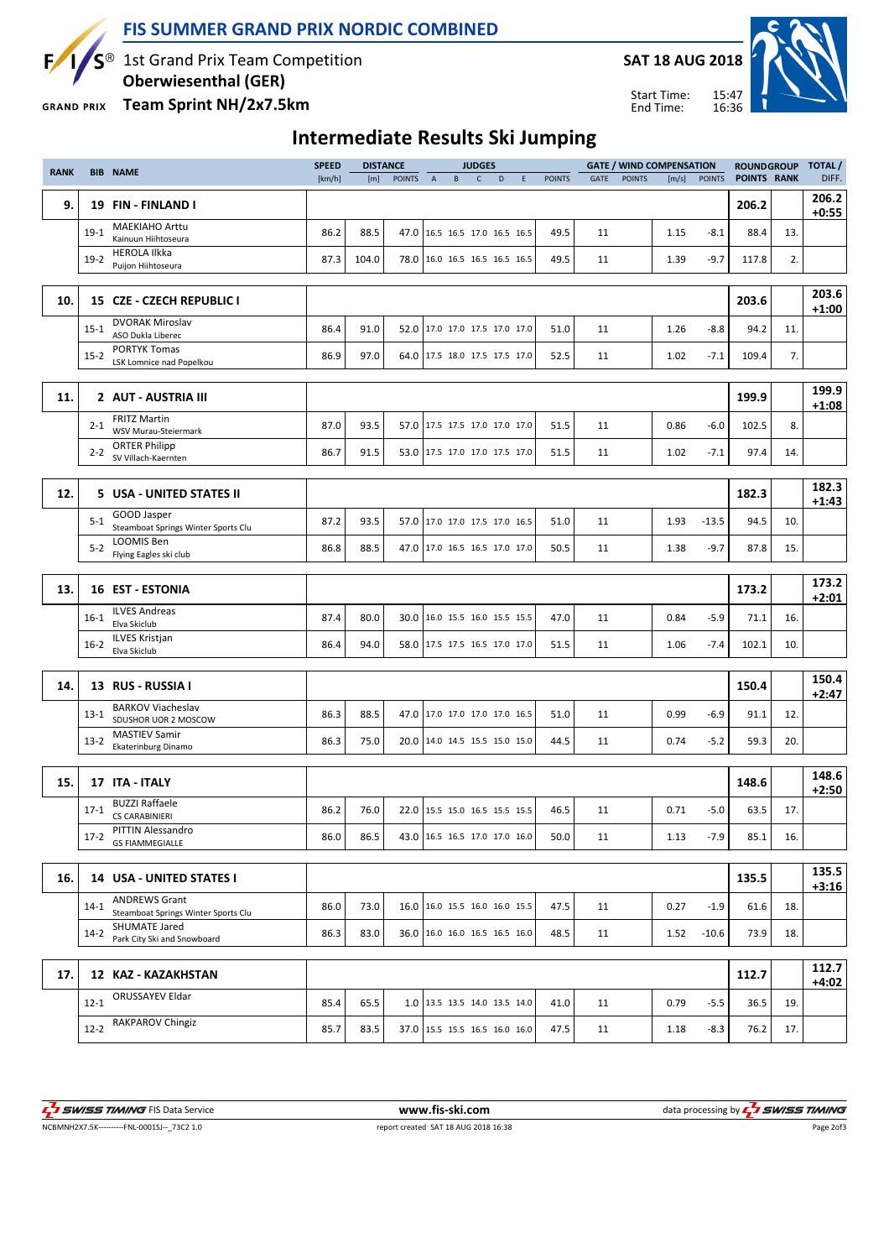

### FIS SUMMER GRAND PRIX NORDIC COMBINED

1st Grand Prix Team Competition

Oberwiesenthal (GER)

Team Sprint NH/2x7.5km **GRAND PRIX** 



15:47 16:36 Start Time: End Time:



## Intermediate Results Ski Jumping

| <b>RANK</b> |          | <b>BIB NAME</b>                                             | <b>SPEED</b> |       | <b>DISTANCE</b> |                |   | <b>JUDGES</b> |                                 |   |               |             |               | <b>GATE / WIND COMPENSATION</b> |               | <b>ROUNDGROUP</b>  |     | <b>TOTAL</b> /   |
|-------------|----------|-------------------------------------------------------------|--------------|-------|-----------------|----------------|---|---------------|---------------------------------|---|---------------|-------------|---------------|---------------------------------|---------------|--------------------|-----|------------------|
|             |          |                                                             | [km/h]       | [m]   | <b>POINTS</b>   | $\overline{A}$ | B | $\mathsf{C}$  | D                               | E | <b>POINTS</b> | <b>GATE</b> | <b>POINTS</b> | [m/s]                           | <b>POINTS</b> | <b>POINTS RANK</b> |     | DIFF.            |
| 9.          |          | 19 FIN - FINLAND I                                          |              |       |                 |                |   |               |                                 |   |               |             |               |                                 |               | 206.2              |     | 206.2<br>$+0:55$ |
|             | $19-1$   | <b>MAEKIAHO Arttu</b><br>Kainuun Hiihtoseura                | 86.2         | 88.5  |                 |                |   |               | 47.0 16.5 16.5 17.0 16.5 16.5   |   | 49.5          | 11          |               | 1.15                            | $-8.1$        | 88.4               | 13. |                  |
|             | $19-2$   | <b>HEROLA Ilkka</b><br>Puijon Hiihtoseura                   | 87.3         | 104.0 |                 |                |   |               | 78.0 16.0 16.5 16.5 16.5 16.5   |   | 49.5          | 11          |               | 1.39                            | $-9.7$        | 117.8              | 2.  |                  |
|             |          |                                                             |              |       |                 |                |   |               |                                 |   |               |             |               |                                 |               |                    |     |                  |
| 10.         |          | 15 CZE - CZECH REPUBLIC I                                   |              |       |                 |                |   |               |                                 |   |               |             |               |                                 |               | 203.6              |     | 203.6<br>$+1:00$ |
|             | $15 - 1$ | <b>DVORAK Miroslav</b><br>ASO Dukla Liberec                 | 86.4         | 91.0  |                 |                |   |               | 52.0 17.0 17.0 17.5 17.0 17.0   |   | 51.0          | 11          |               | 1.26                            | $-8.8$        | 94.2               | 11. |                  |
|             | $15 - 2$ | <b>PORTYK Tomas</b><br>LSK Lomnice nad Popelkou             | 86.9         | 97.0  |                 |                |   |               | 64.0 17.5 18.0 17.5 17.5 17.0   |   | 52.5          | 11          |               | 1.02                            | $-7.1$        | 109.4              | 7.  |                  |
|             |          |                                                             |              |       |                 |                |   |               |                                 |   |               |             |               |                                 |               |                    |     |                  |
| 11.         |          | 2 AUT - AUSTRIA III                                         |              |       |                 |                |   |               |                                 |   |               |             |               |                                 |               | 199.9              |     | 199.9<br>$+1:08$ |
|             | $2 - 1$  | <b>FRITZ Martin</b><br>WSV Murau-Steiermark                 | 87.0         | 93.5  |                 |                |   |               | 57.0 17.5 17.5 17.0 17.0 17.0   |   | 51.5          | 11          |               | 0.86                            | $-6.0$        | 102.5              | 8.  |                  |
|             | $2 - 2$  | <b>ORTER Philipp</b><br>SV Villach-Kaernten                 | 86.7         | 91.5  |                 |                |   |               | 53.0 17.5 17.0 17.0 17.5 17.0   |   | 51.5          | 11          |               | 1.02                            | $-7.1$        | 97.4               | 14. |                  |
|             |          |                                                             |              |       |                 |                |   |               |                                 |   |               |             |               |                                 |               |                    |     |                  |
| 12.         |          | 5 USA - UNITED STATES II                                    |              |       |                 |                |   |               |                                 |   |               |             |               |                                 |               | 182.3              |     | 182.3<br>$+1:43$ |
|             | $5 - 1$  | GOOD Jasper<br>Steamboat Springs Winter Sports Clu          | 87.2         | 93.5  |                 |                |   |               | 57.0 17.0 17.0 17.5 17.0 16.5   |   | 51.0          | 11          |               | 1.93                            | $-13.5$       | 94.5               | 10. |                  |
|             | $5 - 2$  | LOOMIS Ben<br>Flying Eagles ski club                        | 86.8         | 88.5  |                 |                |   |               | 47.0 17.0 16.5 16.5 17.0 17.0   |   | 50.5          | 11          |               | 1.38                            | $-9.7$        | 87.8               | 15. |                  |
|             |          |                                                             |              |       |                 |                |   |               |                                 |   |               |             |               |                                 |               |                    |     |                  |
| 13.         |          | <b>16 EST - ESTONIA</b>                                     |              |       |                 |                |   |               |                                 |   |               |             |               |                                 |               | 173.2              |     | 173.2<br>$+2:01$ |
|             | $16-1$   | <b>ILVES Andreas</b><br>Elva Skiclub                        | 87.4         | 80.0  | 30.0            |                |   |               | 16.0 15.5 16.0 15.5 15.5        |   | 47.0          | 11          |               | 0.84                            | $-5.9$        | 71.1               | 16. |                  |
|             | $16-2$   | <b>ILVES Kristjan</b><br>Elva Skiclub                       | 86.4         | 94.0  |                 |                |   |               | 58.0 17.5 17.5 16.5 17.0 17.0   |   | 51.5          | 11          |               | 1.06                            | $-7.4$        | 102.1              | 10. |                  |
|             |          |                                                             |              |       |                 |                |   |               |                                 |   |               |             |               |                                 |               |                    |     |                  |
| 14.         |          | 13 RUS - RUSSIA I                                           |              |       |                 |                |   |               |                                 |   |               |             |               |                                 |               | 150.4              |     | 150.4<br>$+2:47$ |
|             | $13-1$   | <b>BARKOV Viacheslav</b><br>SDUSHOR UOR 2 MOSCOW            | 86.3         | 88.5  |                 |                |   |               | 47.0 17.0 17.0 17.0 17.0 16.5   |   | 51.0          | 11          |               | 0.99                            | $-6.9$        | 91.1               | 12. |                  |
|             | $13-2$   | <b>MASTIEV Samir</b><br>Ekaterinburg Dinamo                 | 86.3         | 75.0  |                 |                |   |               | 20.0 14.0 14.5 15.5 15.0 15.0   |   | 44.5          | 11          |               | 0.74                            | $-5.2$        | 59.3               | 20. |                  |
|             |          |                                                             |              |       |                 |                |   |               |                                 |   |               |             |               |                                 |               |                    |     |                  |
| 15.         |          | 17 ITA - ITALY                                              |              |       |                 |                |   |               |                                 |   |               |             |               |                                 |               | 148.6              |     | 148.6<br>$+2:50$ |
|             | $17-1$   | <b>BUZZI Raffaele</b><br>CS CARABINIERI                     | 86.2         | 76.0  |                 |                |   |               | 22.0 15.5 15.0 16.5 15.5 15.5   |   | 46.5          | 11          |               | 0.71                            | $-5.0$        | 63.5               | 17. |                  |
|             | $17-2$   | PITTIN Alessandro<br><b>GS FIAMMEGIALLE</b>                 | 86.0         | 86.5  |                 |                |   |               | 43.0 16.5 16.5 17.0 17.0 16.0   |   | 50.0          | 11          |               | 1.13                            | $-7.9$        | 85.1               | 16. |                  |
|             |          |                                                             |              |       |                 |                |   |               |                                 |   |               |             |               |                                 |               |                    |     |                  |
| 16.         |          | 14 USA - UNITED STATES I                                    |              |       |                 |                |   |               |                                 |   |               |             |               |                                 |               | 135.5              |     | 135.5<br>$+3:16$ |
|             | $14-1$   | <b>ANDREWS Grant</b><br>Steamboat Springs Winter Sports Clu | 86.0         | 73.0  |                 |                |   |               | 16.0 16.0 15.5 16.0 16.0 15.5   |   | 47.5          | 11          |               | 0.27                            | $-1.9$        | 61.6               | 18. |                  |
|             | $14-2$   | SHUMATE Jared<br>Park City Ski and Snowboard                | 86.3         | 83.0  |                 |                |   |               | 36.0   16.0 16.0 16.5 16.5 16.0 |   | 48.5          | 11          |               | 1.52                            | $-10.6$       | 73.9               | 18. |                  |
|             |          |                                                             |              |       |                 |                |   |               |                                 |   |               |             |               |                                 |               |                    |     |                  |
| 17.         |          | 12 KAZ - KAZAKHSTAN                                         |              |       |                 |                |   |               |                                 |   |               |             |               |                                 |               | 112.7              |     | 112.7<br>$+4:02$ |
|             | $12 - 1$ | ORUSSAYEV Eldar                                             | 85.4         | 65.5  |                 |                |   |               | 1.0   13.5 13.5 14.0 13.5 14.0  |   | 41.0          | 11          |               | 0.79                            | $-5.5$        | 36.5               | 19. |                  |
|             | $12 - 2$ | RAKPAROV Chingiz                                            | 85.7         | 83.5  |                 |                |   |               | 37.0 15.5 15.5 16.5 16.0 16.0   |   | 47.5          | 11          |               | 1.18                            | $-8.3$        | 76.2               | 17. |                  |

 $\overline{r}$ 

NCBMNH2X7.5K----------FNL-0001SJ--\_73C2 1.0 report created SAT 18 AUG 2018 16:38